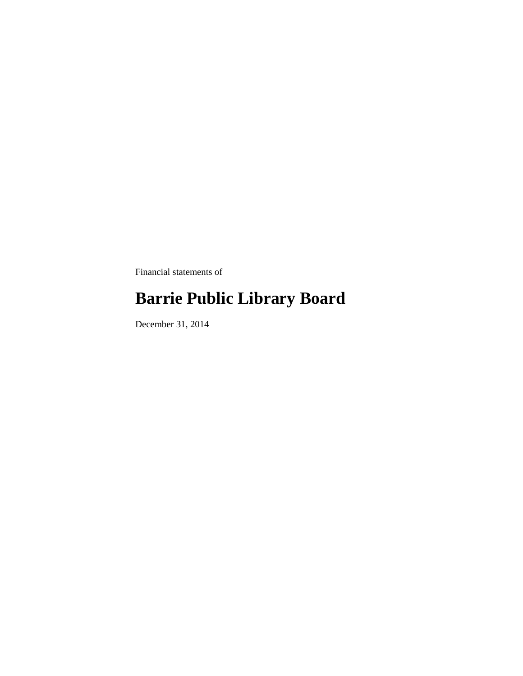Financial statements of

# **Barrie Public Library Board**

December 31, 2014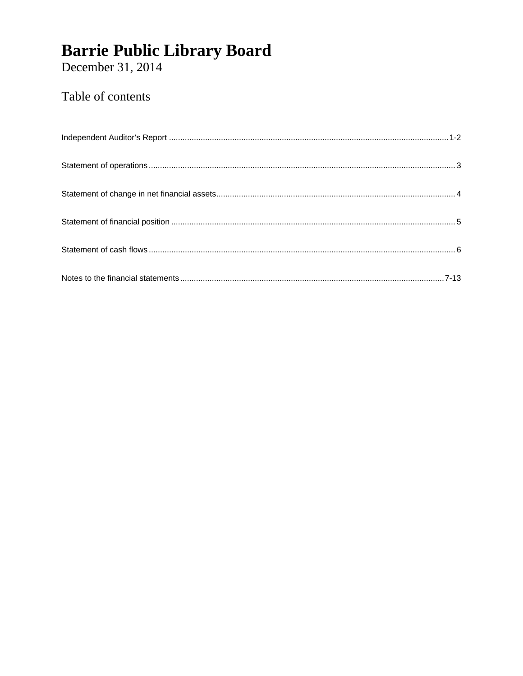December 31, 2014

### Table of contents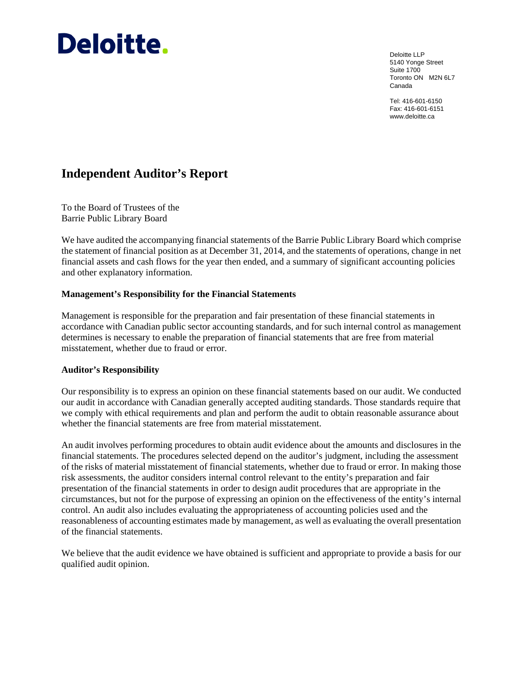# Deloitte.

Deloitte LLP 5140 Yonge Street Suite 1700 Toronto ON M2N 6L7 Canada

Tel: 416-601-6150 Fax: 416-601-6151 www.deloitte.ca

### **Independent Auditor's Report**

To the Board of Trustees of the Barrie Public Library Board

We have audited the accompanying financial statements of the Barrie Public Library Board which comprise the statement of financial position as at December 31, 2014, and the statements of operations, change in net financial assets and cash flows for the year then ended, and a summary of significant accounting policies and other explanatory information.

#### **Management's Responsibility for the Financial Statements**

Management is responsible for the preparation and fair presentation of these financial statements in accordance with Canadian public sector accounting standards, and for such internal control as management determines is necessary to enable the preparation of financial statements that are free from material misstatement, whether due to fraud or error.

#### **Auditor's Responsibility**

Our responsibility is to express an opinion on these financial statements based on our audit. We conducted our audit in accordance with Canadian generally accepted auditing standards. Those standards require that we comply with ethical requirements and plan and perform the audit to obtain reasonable assurance about whether the financial statements are free from material misstatement.

An audit involves performing procedures to obtain audit evidence about the amounts and disclosures in the financial statements. The procedures selected depend on the auditor's judgment, including the assessment of the risks of material misstatement of financial statements, whether due to fraud or error. In making those risk assessments, the auditor considers internal control relevant to the entity's preparation and fair presentation of the financial statements in order to design audit procedures that are appropriate in the circumstances, but not for the purpose of expressing an opinion on the effectiveness of the entity's internal control. An audit also includes evaluating the appropriateness of accounting policies used and the reasonableness of accounting estimates made by management, as well as evaluating the overall presentation of the financial statements.

We believe that the audit evidence we have obtained is sufficient and appropriate to provide a basis for our qualified audit opinion.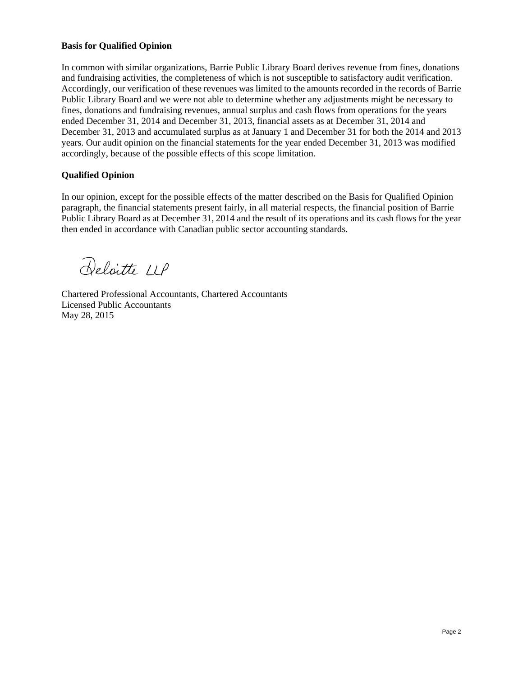#### **Basis for Qualified Opinion**

In common with similar organizations, Barrie Public Library Board derives revenue from fines, donations and fundraising activities, the completeness of which is not susceptible to satisfactory audit verification. Accordingly, our verification of these revenues was limited to the amounts recorded in the records of Barrie Public Library Board and we were not able to determine whether any adjustments might be necessary to fines, donations and fundraising revenues, annual surplus and cash flows from operations for the years ended December 31, 2014 and December 31, 2013, financial assets as at December 31, 2014 and December 31, 2013 and accumulated surplus as at January 1 and December 31 for both the 2014 and 2013 years. Our audit opinion on the financial statements for the year ended December 31, 2013 was modified accordingly, because of the possible effects of this scope limitation.

#### **Qualified Opinion**

In our opinion, except for the possible effects of the matter described on the Basis for Qualified Opinion paragraph, the financial statements present fairly, in all material respects, the financial position of Barrie Public Library Board as at December 31, 2014 and the result of its operations and its cash flows for the year then ended in accordance with Canadian public sector accounting standards.

Deloitte LLP

Chartered Professional Accountants, Chartered Accountants Licensed Public Accountants May 28, 2015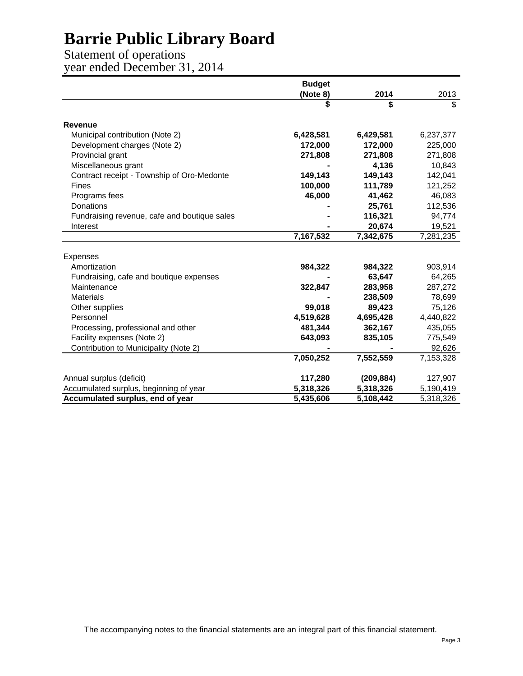Statement of operations year ended December 31, 2014

|                                              | <b>Budget</b> |            |                         |
|----------------------------------------------|---------------|------------|-------------------------|
|                                              | (Note 8)      | 2014       | 2013                    |
|                                              | \$            | \$         | $\overline{\mathbb{S}}$ |
| <b>Revenue</b>                               |               |            |                         |
| Municipal contribution (Note 2)              | 6,428,581     | 6,429,581  | 6,237,377               |
| Development charges (Note 2)                 | 172,000       | 172,000    | 225,000                 |
| Provincial grant                             | 271,808       | 271,808    | 271,808                 |
| Miscellaneous grant                          |               | 4,136      | 10,843                  |
| Contract receipt - Township of Oro-Medonte   | 149,143       | 149,143    | 142,041                 |
| Fines                                        | 100,000       | 111,789    | 121,252                 |
| Programs fees                                | 46,000        | 41,462     | 46,083                  |
| Donations                                    |               | 25,761     | 112,536                 |
| Fundraising revenue, cafe and boutique sales |               | 116,321    | 94,774                  |
| Interest                                     |               | 20,674     | 19,521                  |
|                                              | 7,167,532     | 7,342,675  | 7,281,235               |
|                                              |               |            |                         |
| Expenses                                     |               |            |                         |
| Amortization                                 | 984,322       | 984,322    | 903,914                 |
| Fundraising, cafe and boutique expenses      |               | 63,647     | 64,265                  |
| Maintenance                                  | 322,847       | 283,958    | 287,272                 |
| <b>Materials</b>                             |               | 238,509    | 78,699                  |
| Other supplies                               | 99,018        | 89,423     | 75,126                  |
| Personnel                                    | 4,519,628     | 4,695,428  | 4,440,822               |
| Processing, professional and other           | 481,344       | 362,167    | 435,055                 |
| Facility expenses (Note 2)                   | 643,093       | 835,105    | 775,549                 |
| Contribution to Municipality (Note 2)        |               |            | 92,626                  |
|                                              | 7,050,252     | 7,552,559  | 7,153,328               |
|                                              |               |            |                         |
| Annual surplus (deficit)                     | 117,280       | (209, 884) | 127,907                 |
| Accumulated surplus, beginning of year       | 5,318,326     | 5,318,326  | 5,190,419               |
| Accumulated surplus, end of year             | 5,435,606     | 5,108,442  | 5,318,326               |

The accompanying notes to the financial statements are an integral part of this financial statement.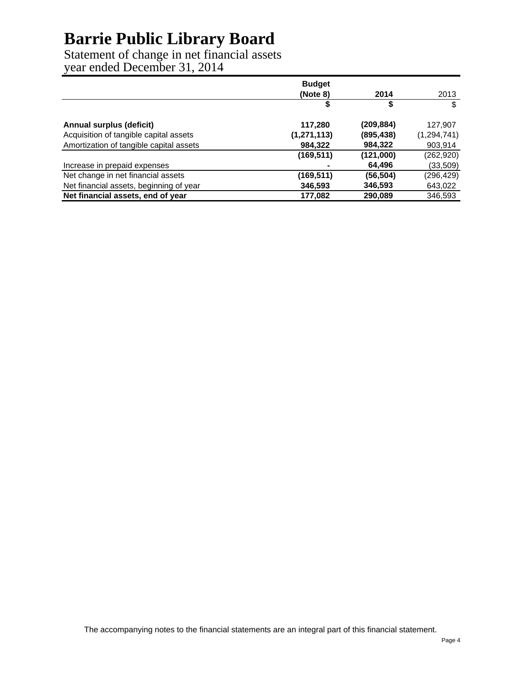Statement of change in net financial assets year ended December 31, 2014

|                                         | <b>Budget</b> |            |               |
|-----------------------------------------|---------------|------------|---------------|
|                                         | (Note 8)      | 2014       | 2013          |
|                                         | S             | S          | \$            |
| <b>Annual surplus (deficit)</b>         | 117,280       | (209,884)  | 127,907       |
| Acquisition of tangible capital assets  | (1, 271, 113) | (895, 438) | (1, 294, 741) |
| Amortization of tangible capital assets | 984,322       | 984,322    | 903,914       |
|                                         | (169, 511)    | (121,000)  | (262, 920)    |
| Increase in prepaid expenses            |               | 64,496     | (33, 509)     |
| Net change in net financial assets      | (169, 511)    | (56, 504)  | (296,429)     |
| Net financial assets, beginning of year | 346,593       | 346,593    | 643,022       |
| Net financial assets, end of year       | 177,082       | 290,089    | 346,593       |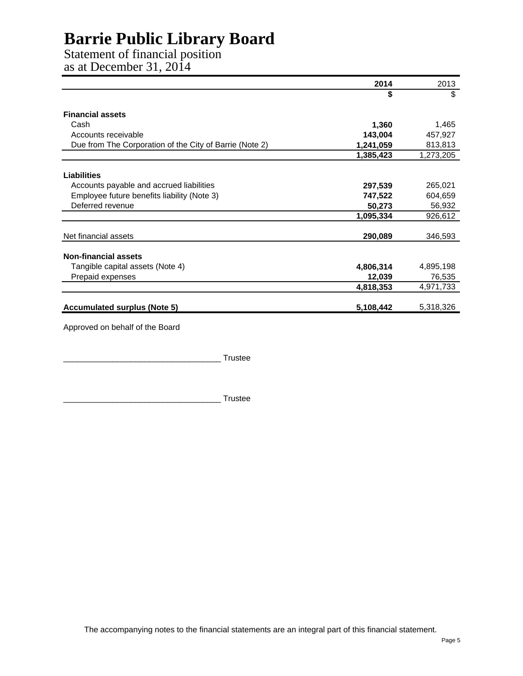Statement of financial position

as at December 31, 2014

|                                                         | 2014      | 2013      |
|---------------------------------------------------------|-----------|-----------|
|                                                         | \$        | \$        |
| <b>Financial assets</b>                                 |           |           |
| Cash                                                    | 1,360     | 1,465     |
| Accounts receivable                                     | 143,004   | 457,927   |
| Due from The Corporation of the City of Barrie (Note 2) | 1,241,059 | 813,813   |
|                                                         | 1,385,423 | 1,273,205 |
| Liabilities                                             |           |           |
| Accounts payable and accrued liabilities                | 297,539   | 265,021   |
| Employee future benefits liability (Note 3)             | 747,522   | 604,659   |
| Deferred revenue                                        | 50,273    | 56,932    |
|                                                         | 1,095,334 | 926,612   |
| Net financial assets                                    | 290,089   | 346,593   |
| <b>Non-financial assets</b>                             |           |           |
| Tangible capital assets (Note 4)                        | 4,806,314 | 4,895,198 |
| Prepaid expenses                                        | 12,039    | 76,535    |
|                                                         | 4,818,353 | 4,971,733 |
| <b>Accumulated surplus (Note 5)</b>                     | 5,108,442 | 5,318,326 |
| Approved on behalf of the Board                         |           |           |

\_\_\_\_\_\_\_\_\_\_\_\_\_\_\_\_\_\_\_\_\_\_\_\_\_\_\_\_\_\_\_\_\_\_\_ Trustee

 $\_$  Trustee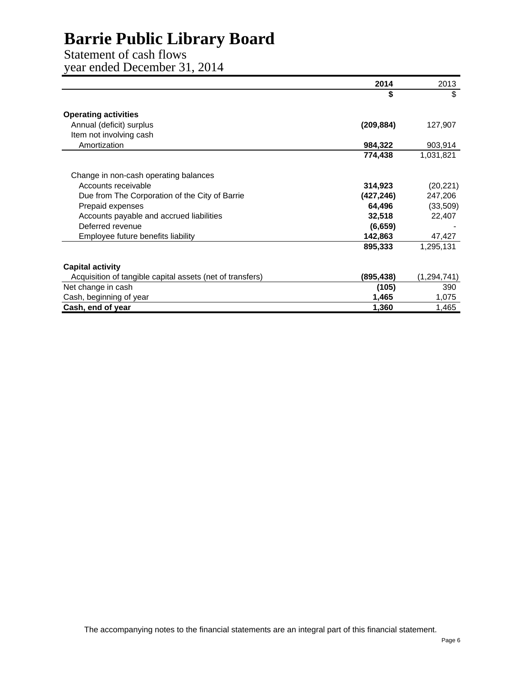Statement of cash flows year ended December 31, 2014

|                                                           | 2014       | 2013          |
|-----------------------------------------------------------|------------|---------------|
|                                                           | \$         | \$            |
| <b>Operating activities</b>                               |            |               |
| Annual (deficit) surplus                                  | (209, 884) | 127,907       |
| Item not involving cash                                   |            |               |
| Amortization                                              | 984,322    | 903,914       |
|                                                           | 774,438    | 1,031,821     |
| Change in non-cash operating balances                     |            |               |
| Accounts receivable                                       | 314,923    | (20, 221)     |
| Due from The Corporation of the City of Barrie            | (427, 246) | 247,206       |
| Prepaid expenses                                          | 64,496     | (33,509)      |
| Accounts payable and accrued liabilities                  | 32,518     | 22,407        |
| Deferred revenue                                          | (6, 659)   |               |
| Employee future benefits liability                        | 142,863    | 47,427        |
|                                                           | 895,333    | 1,295,131     |
| <b>Capital activity</b>                                   |            |               |
| Acquisition of tangible capital assets (net of transfers) | (895,438)  | (1, 294, 741) |
| Net change in cash                                        | (105)      | 390           |
| Cash, beginning of year                                   | 1,465      | 1,075         |
| Cash, end of year                                         | 1,360      | 1,465         |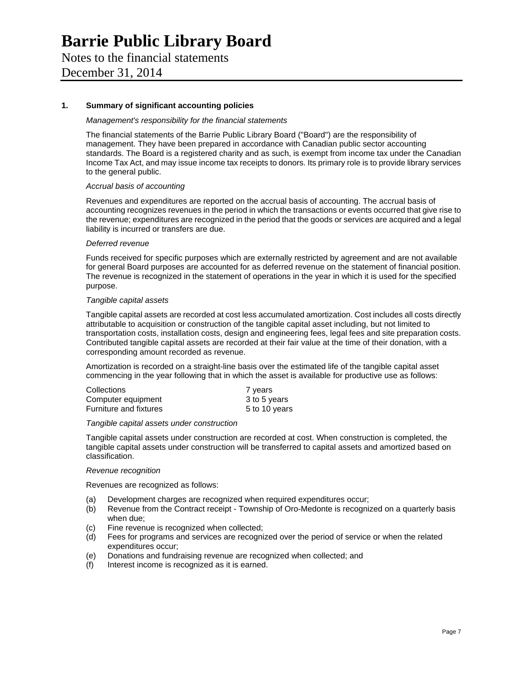Notes to the financial statements December 31, 2014

#### **1. Summary of significant accounting policies**

#### *Management's responsibility for the financial statements*

The financial statements of the Barrie Public Library Board ("Board") are the responsibility of management. They have been prepared in accordance with Canadian public sector accounting standards. The Board is a registered charity and as such, is exempt from income tax under the Canadian Income Tax Act, and may issue income tax receipts to donors. Its primary role is to provide library services to the general public.

#### *Accrual basis of accounting*

Revenues and expenditures are reported on the accrual basis of accounting. The accrual basis of accounting recognizes revenues in the period in which the transactions or events occurred that give rise to the revenue; expenditures are recognized in the period that the goods or services are acquired and a legal liability is incurred or transfers are due.

#### *Deferred revenue*

Funds received for specific purposes which are externally restricted by agreement and are not available for general Board purposes are accounted for as deferred revenue on the statement of financial position. The revenue is recognized in the statement of operations in the year in which it is used for the specified purpose.

#### *Tangible capital assets*

Tangible capital assets are recorded at cost less accumulated amortization. Cost includes all costs directly attributable to acquisition or construction of the tangible capital asset including, but not limited to transportation costs, installation costs, design and engineering fees, legal fees and site preparation costs. Contributed tangible capital assets are recorded at their fair value at the time of their donation, with a corresponding amount recorded as revenue.

Amortization is recorded on a straight-line basis over the estimated life of the tangible capital asset commencing in the year following that in which the asset is available for productive use as follows:

| Collections                   | 7 years       |
|-------------------------------|---------------|
| Computer equipment            | 3 to 5 years  |
| <b>Furniture and fixtures</b> | 5 to 10 years |

#### *Tangible capital assets under construction*

Tangible capital assets under construction are recorded at cost. When construction is completed, the tangible capital assets under construction will be transferred to capital assets and amortized based on classification.

#### *Revenue recognition*

Revenues are recognized as follows:

- (a) Development charges are recognized when required expenditures occur;
- (b) Revenue from the Contract receipt Township of Oro-Medonte is recognized on a quarterly basis when due;
- (c) Fine revenue is recognized when collected;
- (d) Fees for programs and services are recognized over the period of service or when the related expenditures occur;
- (e) Donations and fundraising revenue are recognized when collected; and
- (f) Interest income is recognized as it is earned.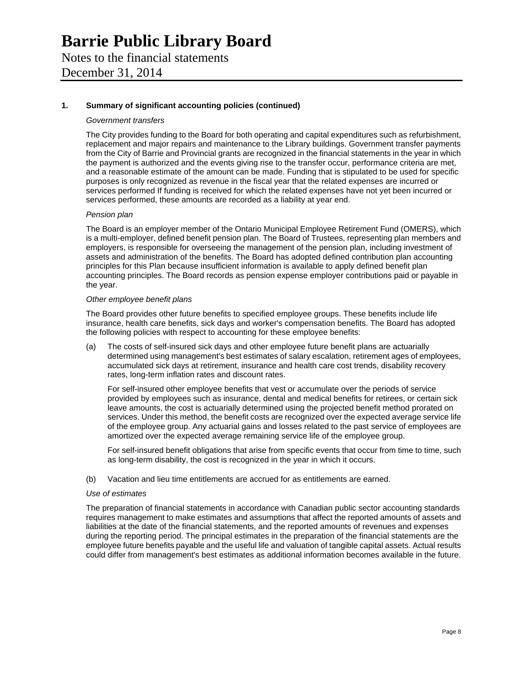### **Barrie Public Library Board**  Notes to the financial statements

December 31, 2014

#### **1. Summary of significant accounting policies (continued)**

#### *Government transfers*

The City provides funding to the Board for both operating and capital expenditures such as refurbishment, replacement and major repairs and maintenance to the Library buildings. Government transfer payments from the City of Barrie and Provincial grants are recognized in the financial statements in the year in which the payment is authorized and the events giving rise to the transfer occur, performance criteria are met, and a reasonable estimate of the amount can be made. Funding that is stipulated to be used for specific purposes is only recognized as revenue in the fiscal year that the related expenses are incurred or services performed If funding is received for which the related expenses have not yet been incurred or services performed, these amounts are recorded as a liability at year end.

#### *Pension plan*

The Board is an employer member of the Ontario Municipal Employee Retirement Fund (OMERS), which is a multi-employer, defined benefit pension plan. The Board of Trustees, representing plan members and employers, is responsible for overseeing the management of the pension plan, including investment of assets and administration of the benefits. The Board has adopted defined contribution plan accounting principles for this Plan because insufficient information is available to apply defined benefit plan accounting principles. The Board records as pension expense employer contributions paid or payable in the year.

#### *Other employee benefit plans*

The Board provides other future benefits to specified employee groups. These benefits include life insurance, health care benefits, sick days and worker's compensation benefits. The Board has adopted the following policies with respect to accounting for these employee benefits:

(a) The costs of self-insured sick days and other employee future benefit plans are actuarially determined using management's best estimates of salary escalation, retirement ages of employees, accumulated sick days at retirement, insurance and health care cost trends, disability recovery rates, long-term inflation rates and discount rates.

For self-insured other employee benefits that vest or accumulate over the periods of service provided by employees such as insurance, dental and medical benefits for retirees, or certain sick leave amounts, the cost is actuarially determined using the projected benefit method prorated on services. Under this method, the benefit costs are recognized over the expected average service life of the employee group. Any actuarial gains and losses related to the past service of employees are amortized over the expected average remaining service life of the employee group.

For self-insured benefit obligations that arise from specific events that occur from time to time, such as long-term disability, the cost is recognized in the year in which it occurs.

(b) Vacation and lieu time entitlements are accrued for as entitlements are earned.

#### *Use of estimates*

The preparation of financial statements in accordance with Canadian public sector accounting standards requires management to make estimates and assumptions that affect the reported amounts of assets and liabilities at the date of the financial statements, and the reported amounts of revenues and expenses during the reporting period. The principal estimates in the preparation of the financial statements are the employee future benefits payable and the useful life and valuation of tangible capital assets. Actual results could differ from management's best estimates as additional information becomes available in the future.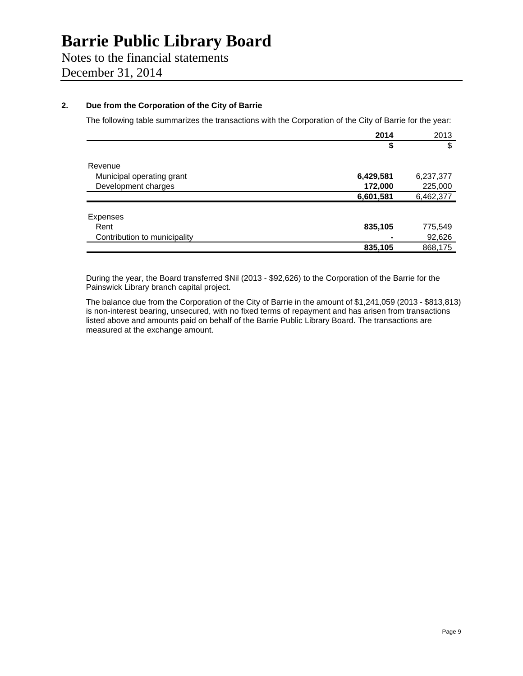### Notes to the financial statements

December 31, 2014

#### **2. Due from the Corporation of the City of Barrie**

The following table summarizes the transactions with the Corporation of the City of Barrie for the year:

|                              | 2014      | 2013      |
|------------------------------|-----------|-----------|
|                              | \$        | \$        |
| Revenue                      |           |           |
| Municipal operating grant    | 6,429,581 | 6,237,377 |
| Development charges          | 172,000   | 225,000   |
|                              | 6,601,581 | 6,462,377 |
|                              |           |           |
| Expenses                     |           |           |
| Rent                         | 835,105   | 775,549   |
| Contribution to municipality |           | 92,626    |
|                              | 835,105   | 868,175   |
|                              |           |           |

During the year, the Board transferred \$Nil (2013 - \$92,626) to the Corporation of the Barrie for the Painswick Library branch capital project.

The balance due from the Corporation of the City of Barrie in the amount of \$1,241,059 (2013 - \$813,813) is non-interest bearing, unsecured, with no fixed terms of repayment and has arisen from transactions listed above and amounts paid on behalf of the Barrie Public Library Board. The transactions are measured at the exchange amount.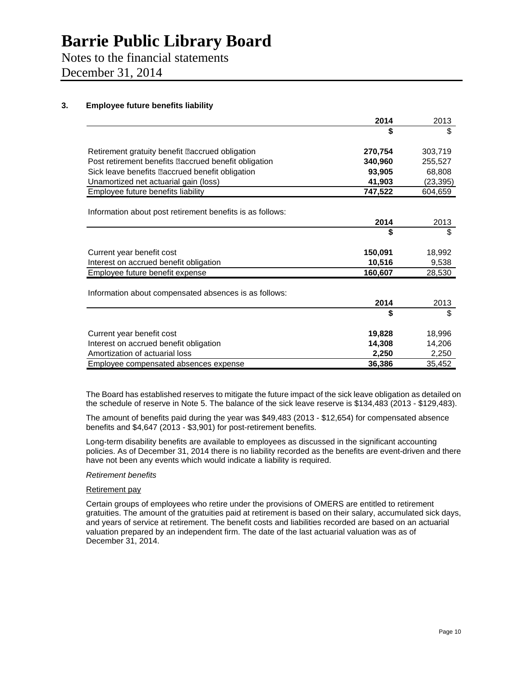### Notes to the financial statements

December 31, 2014

#### **3. Employee future benefits liability**

|                                                            | 2014    | 2013     |
|------------------------------------------------------------|---------|----------|
|                                                            | \$      | \$       |
| Retirement gratuity benefit <b>accrued</b> obligation      | 270,754 | 303,719  |
| Post retirement benefits <b>accrued</b> benefit obligation | 340,960 | 255,527  |
| Sick leave benefits <b>accrued</b> benefit obligation      | 93,905  | 68,808   |
| Unamortized net actuarial gain (loss)                      | 41,903  | (23,395) |
| Employee future benefits liability                         | 747,522 | 604,659  |
| Information about post retirement benefits is as follows:  |         |          |
|                                                            | 2014    | 2013     |
|                                                            | \$      | \$       |
| Current year benefit cost                                  | 150,091 | 18,992   |
| Interest on accrued benefit obligation                     | 10,516  | 9,538    |
| Employee future benefit expense                            | 160,607 | 28,530   |
| Information about compensated absences is as follows:      |         |          |
|                                                            | 2014    | 2013     |
|                                                            | \$      | \$       |
| Current year benefit cost                                  | 19,828  | 18,996   |
| Interest on accrued benefit obligation                     | 14,308  | 14,206   |
| Amortization of actuarial loss                             | 2,250   | 2,250    |
| Employee compensated absences expense                      | 36,386  | 35,452   |

The Board has established reserves to mitigate the future impact of the sick leave obligation as detailed on the schedule of reserve in Note 5. The balance of the sick leave reserve is \$134,483 (2013 - \$129,483).

The amount of benefits paid during the year was \$49,483 (2013 - \$12,654) for compensated absence benefits and \$4,647 (2013 - \$3,901) for post-retirement benefits.

Long-term disability benefits are available to employees as discussed in the significant accounting policies. As of December 31, 2014 there is no liability recorded as the benefits are event-driven and there have not been any events which would indicate a liability is required.

#### *Retirement benefits*

#### Retirement pay

Certain groups of employees who retire under the provisions of OMERS are entitled to retirement gratuities. The amount of the gratuities paid at retirement is based on their salary, accumulated sick days, and years of service at retirement. The benefit costs and liabilities recorded are based on an actuarial valuation prepared by an independent firm. The date of the last actuarial valuation was as of December 31, 2014.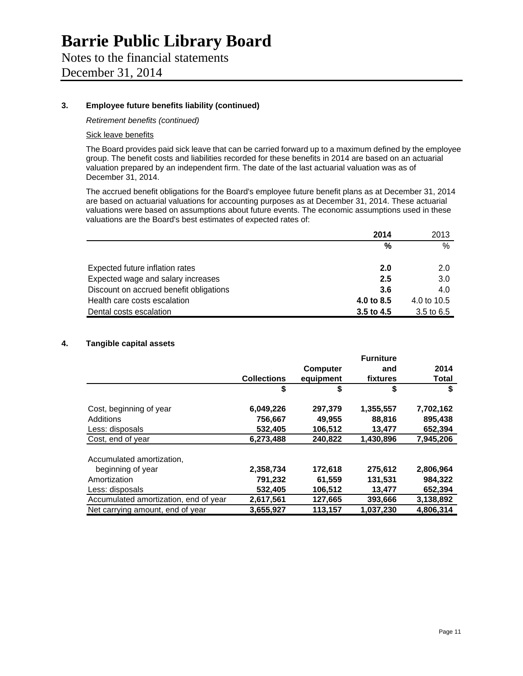### Notes to the financial statements

December 31, 2014

#### **3. Employee future benefits liability (continued)**

*Retirement benefits (continued)* 

#### Sick leave benefits

The Board provides paid sick leave that can be carried forward up to a maximum defined by the employee group. The benefit costs and liabilities recorded for these benefits in 2014 are based on an actuarial valuation prepared by an independent firm. The date of the last actuarial valuation was as of December 31, 2014.

The accrued benefit obligations for the Board's employee future benefit plans as at December 31, 2014 are based on actuarial valuations for accounting purposes as at December 31, 2014. These actuarial valuations were based on assumptions about future events. The economic assumptions used in these valuations are the Board's best estimates of expected rates of:

|                                         | 2014       | 2013        |
|-----------------------------------------|------------|-------------|
|                                         | %          | %           |
| Expected future inflation rates         | 2.0        | 2.0         |
| Expected wage and salary increases      | 2.5        | 3.0         |
| Discount on accrued benefit obligations | 3.6        | 4.0         |
| Health care costs escalation            | 4.0 to 8.5 | 4.0 to 10.5 |
| Dental costs escalation                 | 3.5 to 4.5 | 3.5 to 6.5  |

#### **4. Tangible capital assets**

|                                       |                    |                 | <b>Furniture</b> |           |
|---------------------------------------|--------------------|-----------------|------------------|-----------|
|                                       |                    | <b>Computer</b> | and              | 2014      |
|                                       | <b>Collections</b> | equipment       | fixtures         | Total     |
|                                       | \$                 | \$              | \$               | \$        |
| Cost, beginning of year               | 6,049,226          | 297,379         | 1,355,557        | 7,702,162 |
| Additions                             | 756,667            | 49,955          | 88,816           | 895,438   |
| Less: disposals                       | 532.405            | 106,512         | 13.477           | 652,394   |
| Cost, end of year                     | 6,273,488          | 240,822         | 1,430,896        | 7,945,206 |
| Accumulated amortization,             |                    |                 |                  |           |
| beginning of year                     | 2,358,734          | 172,618         | 275,612          | 2,806,964 |
| Amortization                          | 791,232            | 61.559          | 131,531          | 984.322   |
| Less: disposals                       | 532.405            | 106,512         | 13,477           | 652,394   |
| Accumulated amortization, end of year | 2,617,561          | 127,665         | 393,666          | 3,138,892 |
| Net carrying amount, end of year      | 3,655,927          | 113,157         | 1.037.230        | 4.806.314 |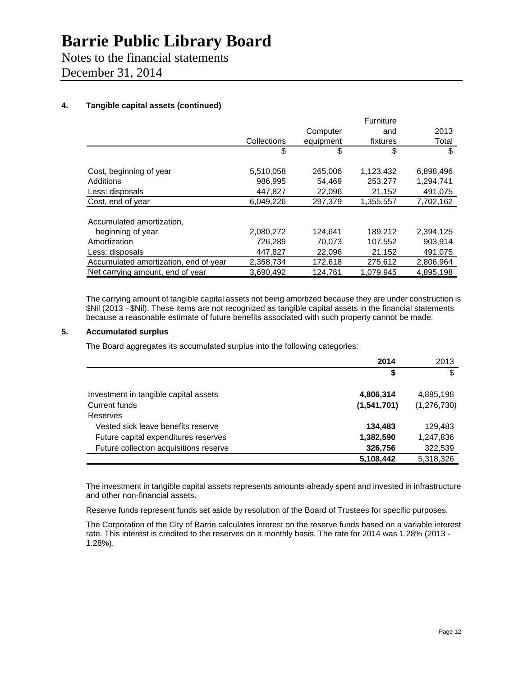Notes to the financial statements

December 31, 2014

#### **4. Tangible capital assets (continued)**

|                                       |             |           | Furniture |           |
|---------------------------------------|-------------|-----------|-----------|-----------|
|                                       |             | Computer  | and       | 2013      |
|                                       | Collections | equipment | fixtures  | Total     |
|                                       | \$          | S         | \$        | \$        |
| Cost, beginning of year               | 5,510,058   | 265,006   | 1,123,432 | 6,898,496 |
| Additions                             | 986.995     | 54.469    | 253.277   | 1,294,741 |
| Less: disposals                       | 447.827     | 22,096    | 21,152    | 491,075   |
| Cost, end of year                     | 6.049.226   | 297,379   | 1,355,557 | 7,702,162 |
| Accumulated amortization,             |             |           |           |           |
|                                       |             |           |           |           |
| beginning of year                     | 2,080,272   | 124,641   | 189,212   | 2,394,125 |
| Amortization                          | 726,289     | 70,073    | 107,552   | 903,914   |
| Less: disposals                       | 447.827     | 22.096    | 21.152    | 491.075   |
| Accumulated amortization, end of year | 2,358,734   | 172,618   | 275,612   | 2,806,964 |
| Net carrying amount, end of year      | 3,690,492   | 124,761   | 1,079,945 | 4,895,198 |

The carrying amount of tangible capital assets not being amortized because they are under construction is \$Nil (2013 - \$Nil). These items are not recognized as tangible capital assets in the financial statements because a reasonable estimate of future benefits associated with such property cannot be made.

#### **5. Accumulated surplus**

The Board aggregates its accumulated surplus into the following categories:

|                                        | 2014        | 2013        |
|----------------------------------------|-------------|-------------|
|                                        | \$          | S           |
| Investment in tangible capital assets  | 4,806,314   | 4,895,198   |
| Current funds                          | (1,541,701) | (1,276,730) |
| Reserves                               |             |             |
| Vested sick leave benefits reserve     | 134,483     | 129.483     |
| Future capital expenditures reserves   | 1,382,590   | 1,247,836   |
| Future collection acquisitions reserve | 326,756     | 322,539     |
|                                        | 5,108,442   | 5,318,326   |

The investment in tangible capital assets represents amounts already spent and invested in infrastructure and other non-financial assets.

Reserve funds represent funds set aside by resolution of the Board of Trustees for specific purposes.

The Corporation of the City of Barrie calculates interest on the reserve funds based on a variable interest rate. This interest is credited to the reserves on a monthly basis. The rate for 2014 was 1.28% (2013 - 1.28%).